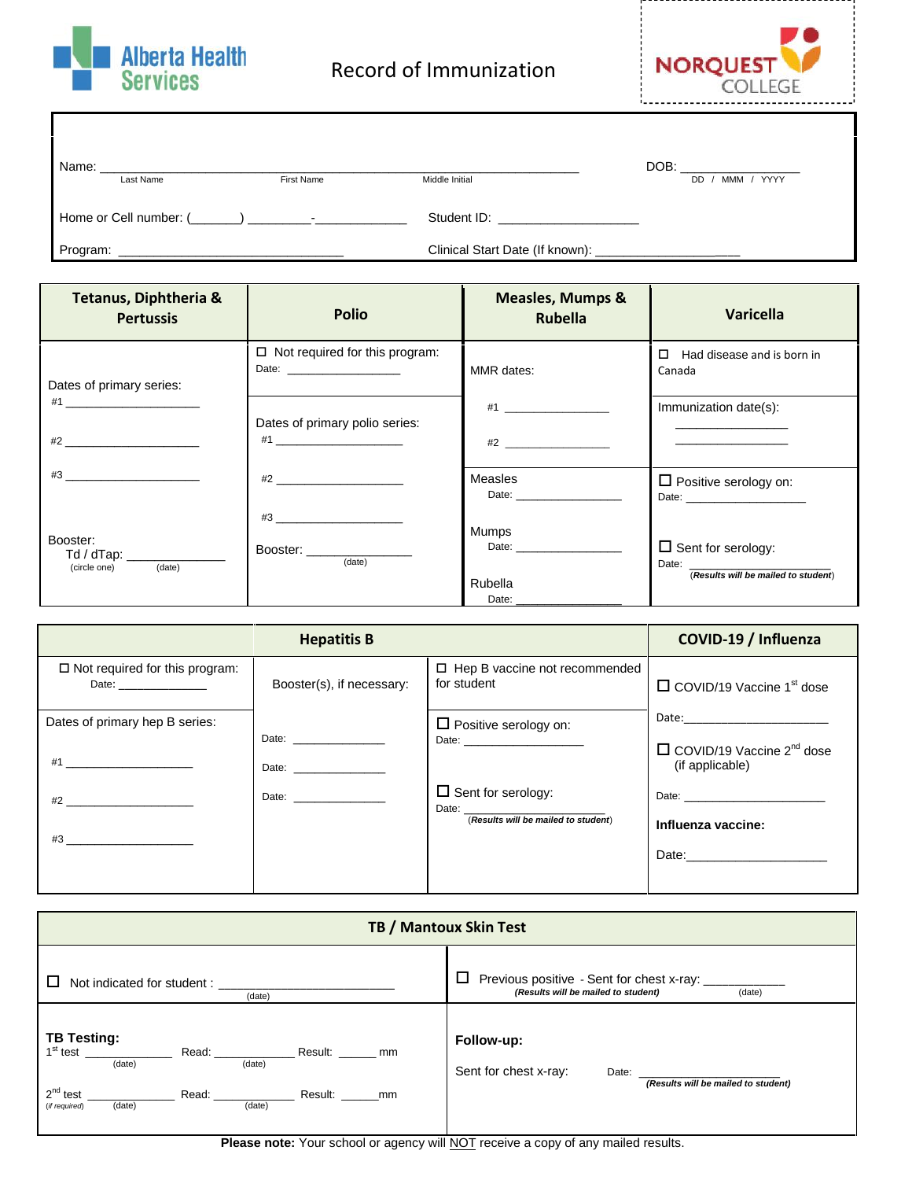



| Name:<br>Last Name     | First Name               | Middle Initial                  | DOB:<br>YYYY<br><b>MMM</b><br>DD. |
|------------------------|--------------------------|---------------------------------|-----------------------------------|
| Home or Cell number: ( | $\overline{\phantom{0}}$ | Student ID:                     |                                   |
| Program:               |                          | Clinical Start Date (If known): |                                   |

| Tetanus, Diphtheria &<br><b>Pertussis</b>                                                                                                                                                                                           | <b>Polio</b>                                                                                                                                                                                                                                                                                                                                                                                                                                                               | <b>Measles, Mumps &amp;</b><br><b>Rubella</b>                                                                                                                                                                                                                      | <b>Varicella</b>                                                                     |
|-------------------------------------------------------------------------------------------------------------------------------------------------------------------------------------------------------------------------------------|----------------------------------------------------------------------------------------------------------------------------------------------------------------------------------------------------------------------------------------------------------------------------------------------------------------------------------------------------------------------------------------------------------------------------------------------------------------------------|--------------------------------------------------------------------------------------------------------------------------------------------------------------------------------------------------------------------------------------------------------------------|--------------------------------------------------------------------------------------|
| Dates of primary series:                                                                                                                                                                                                            | $\Box$ Not required for this program:<br>Date: ________________________                                                                                                                                                                                                                                                                                                                                                                                                    | MMR dates:                                                                                                                                                                                                                                                         | Had disease and is born in<br>$\Box$<br>Canada                                       |
| $#1$ <u>and the set of the set of the set of the set of the set of the set of the set of the set of the set of the set of the set of the set of the set of the set of the set of the set of the set of the set of the set of th</u> | Dates of primary polio series:<br>#1                                                                                                                                                                                                                                                                                                                                                                                                                                       |                                                                                                                                                                                                                                                                    | Immunization date(s):<br>the control of the control of the control of the control of |
|                                                                                                                                                                                                                                     | $#2$ <u>and</u> $#2$ and $#2$ and $#2$ and $#2$ and $#2$ and $#2$ and $#2$ and $#2$ and $#2$ and $#2$ and $#2$ and $#2$ and $#2$ and $#2$ and $#2$ and $#2$ and $#2$ and $#2$ and $#2$ and $#2$ and $#2$ and $#2$ and $#2$ and $#2$<br>$#3$ <u>and the set of the set of the set of the set of the set of the set of the set of the set of the set of the set of the set of the set of the set of the set of the set of the set of the set of the set of the set of th</u> | Measles<br>Date: <u>Date:</u>                                                                                                                                                                                                                                      | $\Box$ Positive serology on:<br>Date: <u>Date:</u>                                   |
| Booster:<br>Td / dTap: ________<br>(date)<br>(circle one)                                                                                                                                                                           | Booster: New York Dooster:<br>(date)                                                                                                                                                                                                                                                                                                                                                                                                                                       | <b>Mumps</b><br>Date: the contract of the contract of the contract of the contract of the contract of the contract of the contract of the contract of the contract of the contract of the contract of the contract of the contract of the cont<br>Rubella<br>Date: | $\Box$ Sent for serology:<br>Date:<br>(Results will be mailed to student)            |

|                                                                                                                                                                                                                                                                           | COVID-19 / Influenza                                                                                                                                                                                                           |                                                                                        |                                                                                                  |
|---------------------------------------------------------------------------------------------------------------------------------------------------------------------------------------------------------------------------------------------------------------------------|--------------------------------------------------------------------------------------------------------------------------------------------------------------------------------------------------------------------------------|----------------------------------------------------------------------------------------|--------------------------------------------------------------------------------------------------|
| $\Box$ Not required for this program:<br>Date:                                                                                                                                                                                                                            | Booster(s), if necessary:                                                                                                                                                                                                      | $\Box$ Hep B vaccine not recommended<br>for student                                    | $\Box$ COVID/19 Vaccine 1 <sup>st</sup> dose                                                     |
| Dates of primary hep B series:<br>#1 ___________________________                                                                                                                                                                                                          | Date: _________________<br>Date: _________________                                                                                                                                                                             | $\Box$ Positive serology on:<br>Date: <u>_______________________</u>                   | Date: _______________________<br>$\Box$ COVID/19 Vaccine 2 <sup>nd</sup> dose<br>(if applicable) |
| $#2$ <u>and</u> $#2$ and $#2$ and $#2$ and $#2$ and $#2$ and $#2$ and $#2$ and $#2$ and $#2$ and $#2$ and $#2$ and $#2$ and $#2$ and $#2$ and $#2$ and $#2$ and $#2$ and $#2$ and $#2$ and $#2$ and $#2$ and $#2$ and $#2$ and $#2$<br>$#3$ $\qquad \qquad \qquad \qquad$ | Date: the contract of the contract of the contract of the contract of the contract of the contract of the contract of the contract of the contract of the contract of the contract of the contract of the contract of the cont | $\Box$ Sent for serology:<br>Date: <u>Date:</u><br>(Results will be mailed to student) | Influenza vaccine:<br>Date:________________________                                              |

| TB / Mantoux Skin Test                                                                       |                                                                                                 |  |
|----------------------------------------------------------------------------------------------|-------------------------------------------------------------------------------------------------|--|
| Not indicated for student:<br>(date)                                                         | □<br>Previous positive - Sent for chest x-ray:<br>(Results will be mailed to student)<br>(date) |  |
| <b>TB Testing:</b><br>(date)<br>(date)<br>$2^{nd}$ test<br>(data)<br>(date)<br>(if required) | Follow-up:<br>Sent for chest x-ray:<br>(Results will be mailed to student)                      |  |